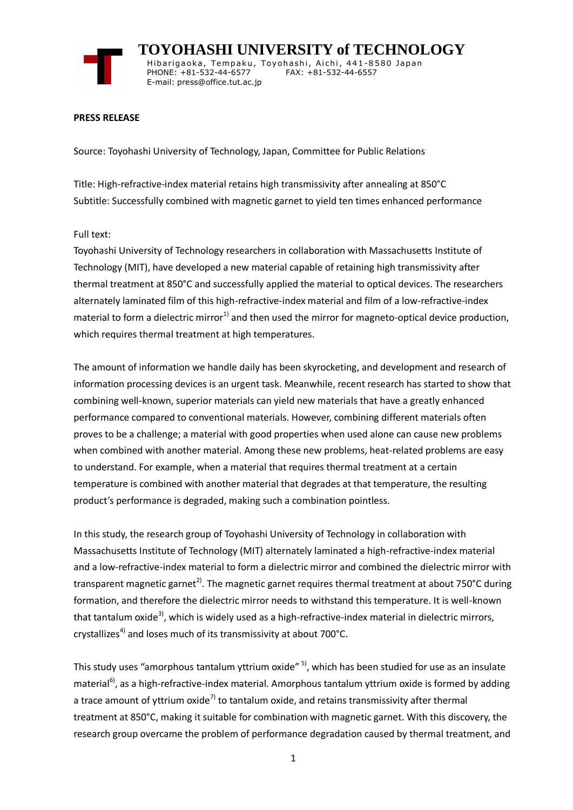

 **TOYOHASHI UNIVERSITY of TECHNOLOGY** Hibarigaoka, Tempaku, Toyohashi, Aichi, 441-8580 Japan PHONE: +81-532-44-6577 FAX: +81-532-44-6557 E-mail: press@office.tut.ac.jp

## **PRESS RELEASE**

Source: Toyohashi University of Technology, Japan, Committee for Public Relations

Title: High-refractive-index material retains high transmissivity after annealing at 850°C Subtitle: Successfully combined with magnetic garnet to yield ten times enhanced performance

## Full text:

Toyohashi University of Technology researchers in collaboration with Massachusetts Institute of Technology (MIT), have developed a new material capable of retaining high transmissivity after thermal treatment at 850°C and successfully applied the material to optical devices. The researchers alternately laminated film of this high-refractive-index material and film of a low-refractive-index material to form a dielectric mirror<sup>1)</sup> and then used the mirror for magneto-optical device production, which requires thermal treatment at high temperatures.

The amount of information we handle daily has been skyrocketing, and development and research of information processing devices is an urgent task. Meanwhile, recent research has started to show that combining well-known, superior materials can yield new materials that have a greatly enhanced performance compared to conventional materials. However, combining different materials often proves to be a challenge; a material with good properties when used alone can cause new problems when combined with another material. Among these new problems, heat-related problems are easy to understand. For example, when a material that requires thermal treatment at a certain temperature is combined with another material that degrades at that temperature, the resulting product's performance is degraded, making such a combination pointless.

In this study, the research group of Toyohashi University of Technology in collaboration with Massachusetts Institute of Technology (MIT) alternately laminated a high-refractive-index material and a low-refractive-index material to form a dielectric mirror and combined the dielectric mirror with transparent magnetic garnet<sup>2)</sup>. The magnetic garnet requires thermal treatment at about 750°C during formation, and therefore the dielectric mirror needs to withstand this temperature. It is well-known that tantalum oxide<sup>3)</sup>, which is widely used as a high-refractive-index material in dielectric mirrors, crystallizes<sup>4)</sup> and loses much of its transmissivity at about 700 $^{\circ}$ C.

This study uses "amorphous tantalum yttrium oxide" 5), which has been studied for use as an insulate material<sup>6)</sup>, as a high-refractive-index material. Amorphous tantalum yttrium oxide is formed by adding a trace amount of yttrium oxide<sup>7)</sup> to tantalum oxide, and retains transmissivity after thermal treatment at 850°C, making it suitable for combination with magnetic garnet. With this discovery, the research group overcame the problem of performance degradation caused by thermal treatment, and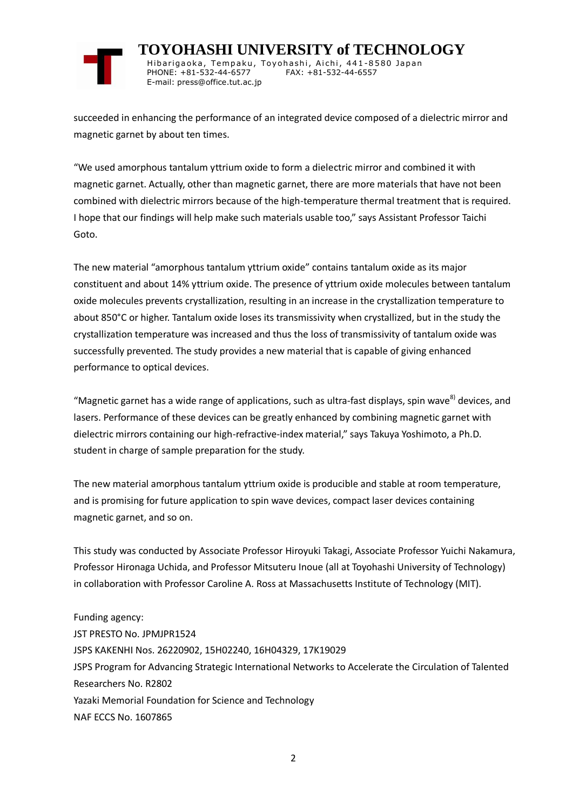

 **TOYOHASHI UNIVERSITY of TECHNOLOGY** Hibarigaoka, Tempaku, Toyohashi, Aichi, 441-8580 Japan PHONE: +81-532-44-6577 FAX: +81-532-44-6557 E-mail: press@office.tut.ac.jp

succeeded in enhancing the performance of an integrated device composed of a dielectric mirror and magnetic garnet by about ten times.

"We used amorphous tantalum yttrium oxide to form a dielectric mirror and combined it with magnetic garnet. Actually, other than magnetic garnet, there are more materials that have not been combined with dielectric mirrors because of the high-temperature thermal treatment that is required. I hope that our findings will help make such materials usable too," says Assistant Professor Taichi Goto.

The new material "amorphous tantalum yttrium oxide" contains tantalum oxide as its major constituent and about 14% yttrium oxide. The presence of yttrium oxide molecules between tantalum oxide molecules prevents crystallization, resulting in an increase in the crystallization temperature to about 850°C or higher. Tantalum oxide loses its transmissivity when crystallized, but in the study the crystallization temperature was increased and thus the loss of transmissivity of tantalum oxide was successfully prevented. The study provides a new material that is capable of giving enhanced performance to optical devices.

"Magnetic garnet has a wide range of applications, such as ultra-fast displays, spin wave<sup>8)</sup> devices, and lasers. Performance of these devices can be greatly enhanced by combining magnetic garnet with dielectric mirrors containing our high-refractive-index material," says Takuya Yoshimoto, a Ph.D. student in charge of sample preparation for the study.

The new material amorphous tantalum yttrium oxide is producible and stable at room temperature, and is promising for future application to spin wave devices, compact laser devices containing magnetic garnet, and so on.

This study was conducted by Associate Professor Hiroyuki Takagi, Associate Professor Yuichi Nakamura, Professor Hironaga Uchida, and Professor Mitsuteru Inoue (all at Toyohashi University of Technology) in collaboration with Professor Caroline A. Ross at Massachusetts Institute of Technology (MIT).

Funding agency: JST PRESTO No. JPMJPR1524 JSPS KAKENHI Nos. 26220902, 15H02240, 16H04329, 17K19029 JSPS Program for Advancing Strategic International Networks to Accelerate the Circulation of Talented Researchers No. R2802 Yazaki Memorial Foundation for Science and Technology NAF ECCS No. 1607865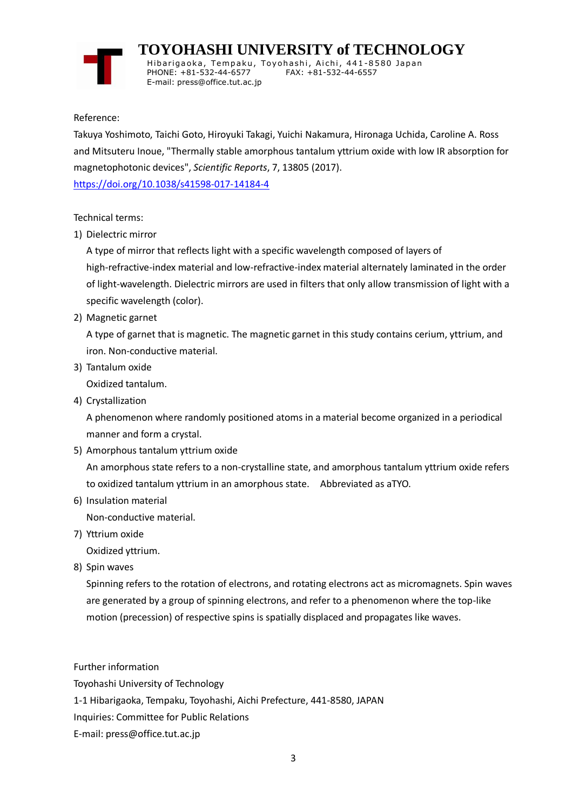

 **TOYOHASHI UNIVERSITY of TECHNOLOGY**

Hibarigaoka, Tempaku, Toyohashi, Aichi, 441-8580 Japan PHONE: +81-532-44-6577 FAX: +81-532-44-6557 E-mail: press@office.tut.ac.jp

Reference:

Takuya Yoshimoto, Taichi Goto, Hiroyuki Takagi, Yuichi Nakamura, Hironaga Uchida, Caroline A. Ross and Mitsuteru Inoue, "Thermally stable amorphous tantalum yttrium oxide with low IR absorption for magnetophotonic devices", *Scientific Reports*, 7, 13805 (2017).

<https://doi.org/10.1038/s41598-017-14184-4>

Technical terms:

1) Dielectric mirror

A type of mirror that reflects light with a specific wavelength composed of layers of high-refractive-index material and low-refractive-index material alternately laminated in the order of light-wavelength. Dielectric mirrors are used in filters that only allow transmission of light with a specific wavelength (color).

2) Magnetic garnet

A type of garnet that is magnetic. The magnetic garnet in this study contains cerium, yttrium, and iron. Non-conductive material.

3) Tantalum oxide

Oxidized tantalum.

4) Crystallization

A phenomenon where randomly positioned atoms in a material become organized in a periodical manner and form a crystal.

5) Amorphous tantalum yttrium oxide

An amorphous state refers to a non-crystalline state, and amorphous tantalum yttrium oxide refers to oxidized tantalum yttrium in an amorphous state. Abbreviated as aTYO.

6) Insulation material

Non-conductive material.

7) Yttrium oxide

Oxidized yttrium.

8) Spin waves

Spinning refers to the rotation of electrons, and rotating electrons act as micromagnets. Spin waves are generated by a group of spinning electrons, and refer to a phenomenon where the top-like motion (precession) of respective spins is spatially displaced and propagates like waves.

Further information Toyohashi University of Technology 1-1 Hibarigaoka, Tempaku, Toyohashi, Aichi Prefecture, 441-8580, JAPAN Inquiries: Committee for Public Relations E-mail: press@office.tut.ac.jp